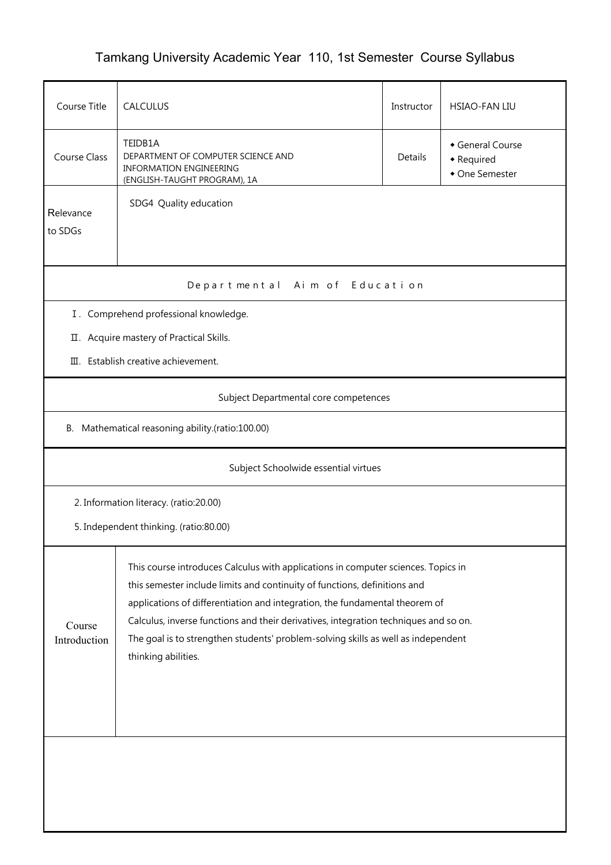## Tamkang University Academic Year 110, 1st Semester Course Syllabus

| Course Title                                     | CALCULUS                                                                                                                                                                                                                                                                                                                                                                                                                                          | Instructor | <b>HSIAO-FAN LIU</b>                           |  |  |  |  |
|--------------------------------------------------|---------------------------------------------------------------------------------------------------------------------------------------------------------------------------------------------------------------------------------------------------------------------------------------------------------------------------------------------------------------------------------------------------------------------------------------------------|------------|------------------------------------------------|--|--|--|--|
| Course Class                                     | TEIDB1A<br>DEPARTMENT OF COMPUTER SCIENCE AND<br><b>INFORMATION ENGINEERING</b><br>(ENGLISH-TAUGHT PROGRAM), 1A                                                                                                                                                                                                                                                                                                                                   |            | General Course<br>• Required<br>• One Semester |  |  |  |  |
| Relevance<br>to SDGs                             | SDG4 Quality education                                                                                                                                                                                                                                                                                                                                                                                                                            |            |                                                |  |  |  |  |
| Departmental Aim of Education                    |                                                                                                                                                                                                                                                                                                                                                                                                                                                   |            |                                                |  |  |  |  |
| I. Comprehend professional knowledge.            |                                                                                                                                                                                                                                                                                                                                                                                                                                                   |            |                                                |  |  |  |  |
|                                                  | II. Acquire mastery of Practical Skills.                                                                                                                                                                                                                                                                                                                                                                                                          |            |                                                |  |  |  |  |
|                                                  | III. Establish creative achievement.                                                                                                                                                                                                                                                                                                                                                                                                              |            |                                                |  |  |  |  |
|                                                  | Subject Departmental core competences                                                                                                                                                                                                                                                                                                                                                                                                             |            |                                                |  |  |  |  |
| B. Mathematical reasoning ability.(ratio:100.00) |                                                                                                                                                                                                                                                                                                                                                                                                                                                   |            |                                                |  |  |  |  |
| Subject Schoolwide essential virtues             |                                                                                                                                                                                                                                                                                                                                                                                                                                                   |            |                                                |  |  |  |  |
|                                                  | 2. Information literacy. (ratio:20.00)                                                                                                                                                                                                                                                                                                                                                                                                            |            |                                                |  |  |  |  |
| 5. Independent thinking. (ratio:80.00)           |                                                                                                                                                                                                                                                                                                                                                                                                                                                   |            |                                                |  |  |  |  |
| Course<br>Introduction                           | This course introduces Calculus with applications in computer sciences. Topics in<br>this semester include limits and continuity of functions, definitions and<br>applications of differentiation and integration, the fundamental theorem of<br>Calculus, inverse functions and their derivatives, integration techniques and so on.<br>The goal is to strengthen students' problem-solving skills as well as independent<br>thinking abilities. |            |                                                |  |  |  |  |
|                                                  |                                                                                                                                                                                                                                                                                                                                                                                                                                                   |            |                                                |  |  |  |  |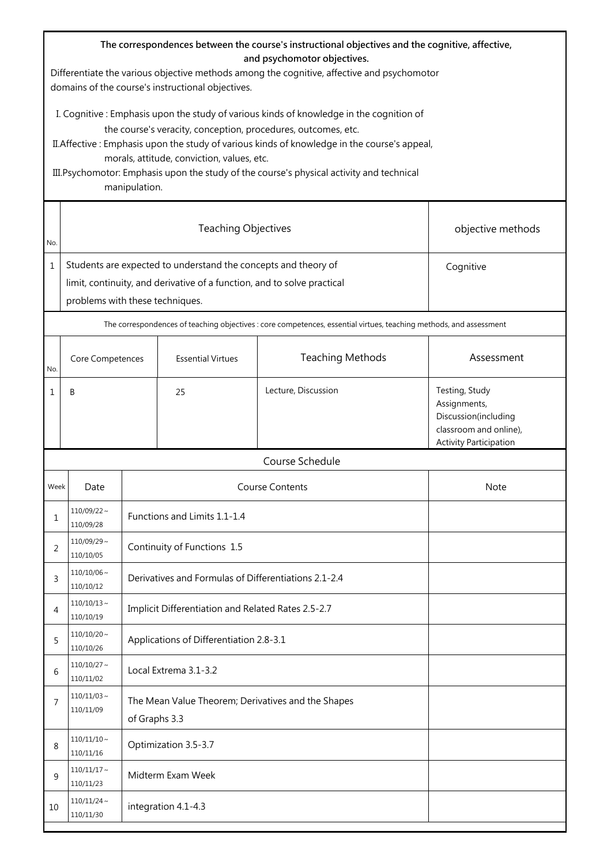| The correspondences between the course's instructional objectives and the cognitive, affective,<br>and psychomotor objectives.<br>Differentiate the various objective methods among the cognitive, affective and psychomotor<br>domains of the course's instructional objectives.                                                                                                                                     |                                                                                                                                                                              |                                                                     |                                                      |                                                                                                                    |                                                                                                                   |  |  |
|-----------------------------------------------------------------------------------------------------------------------------------------------------------------------------------------------------------------------------------------------------------------------------------------------------------------------------------------------------------------------------------------------------------------------|------------------------------------------------------------------------------------------------------------------------------------------------------------------------------|---------------------------------------------------------------------|------------------------------------------------------|--------------------------------------------------------------------------------------------------------------------|-------------------------------------------------------------------------------------------------------------------|--|--|
| I. Cognitive : Emphasis upon the study of various kinds of knowledge in the cognition of<br>the course's veracity, conception, procedures, outcomes, etc.<br>II. Affective: Emphasis upon the study of various kinds of knowledge in the course's appeal,<br>morals, attitude, conviction, values, etc.<br>III. Psychomotor: Emphasis upon the study of the course's physical activity and technical<br>manipulation. |                                                                                                                                                                              |                                                                     |                                                      |                                                                                                                    |                                                                                                                   |  |  |
| No.                                                                                                                                                                                                                                                                                                                                                                                                                   |                                                                                                                                                                              |                                                                     | objective methods                                    |                                                                                                                    |                                                                                                                   |  |  |
| $\mathbf{1}$                                                                                                                                                                                                                                                                                                                                                                                                          | Students are expected to understand the concepts and theory of<br>limit, continuity, and derivative of a function, and to solve practical<br>problems with these techniques. | Cognitive                                                           |                                                      |                                                                                                                    |                                                                                                                   |  |  |
|                                                                                                                                                                                                                                                                                                                                                                                                                       |                                                                                                                                                                              |                                                                     |                                                      | The correspondences of teaching objectives : core competences, essential virtues, teaching methods, and assessment |                                                                                                                   |  |  |
| No.                                                                                                                                                                                                                                                                                                                                                                                                                   | Core Competences                                                                                                                                                             |                                                                     | <b>Essential Virtues</b>                             | <b>Teaching Methods</b>                                                                                            | Assessment                                                                                                        |  |  |
| 1                                                                                                                                                                                                                                                                                                                                                                                                                     | B                                                                                                                                                                            |                                                                     | 25                                                   | Lecture, Discussion                                                                                                | Testing, Study<br>Assignments,<br>Discussion(including<br>classroom and online),<br><b>Activity Participation</b> |  |  |
|                                                                                                                                                                                                                                                                                                                                                                                                                       |                                                                                                                                                                              |                                                                     |                                                      | Course Schedule                                                                                                    |                                                                                                                   |  |  |
| Week                                                                                                                                                                                                                                                                                                                                                                                                                  | Date                                                                                                                                                                         |                                                                     | <b>Course Contents</b><br><b>Note</b>                |                                                                                                                    |                                                                                                                   |  |  |
| 1                                                                                                                                                                                                                                                                                                                                                                                                                     | $110/09/22$ ~<br>110/09/28                                                                                                                                                   |                                                                     | Functions and Limits 1.1-1.4                         |                                                                                                                    |                                                                                                                   |  |  |
| 2                                                                                                                                                                                                                                                                                                                                                                                                                     | $110/09/29$ ~<br>110/10/05                                                                                                                                                   |                                                                     | Continuity of Functions 1.5                          |                                                                                                                    |                                                                                                                   |  |  |
| 3                                                                                                                                                                                                                                                                                                                                                                                                                     | $110/10/06$ ~<br>110/10/12                                                                                                                                                   |                                                                     | Derivatives and Formulas of Differentiations 2.1-2.4 |                                                                                                                    |                                                                                                                   |  |  |
| 4                                                                                                                                                                                                                                                                                                                                                                                                                     | $110/10/13$ ~<br>110/10/19                                                                                                                                                   |                                                                     | Implicit Differentiation and Related Rates 2.5-2.7   |                                                                                                                    |                                                                                                                   |  |  |
| 5                                                                                                                                                                                                                                                                                                                                                                                                                     | $110/10/20$ ~<br>110/10/26                                                                                                                                                   |                                                                     | Applications of Differentiation 2.8-3.1              |                                                                                                                    |                                                                                                                   |  |  |
| 6                                                                                                                                                                                                                                                                                                                                                                                                                     | $110/10/27$ ~<br>110/11/02                                                                                                                                                   |                                                                     | Local Extrema 3.1-3.2                                |                                                                                                                    |                                                                                                                   |  |  |
| 7                                                                                                                                                                                                                                                                                                                                                                                                                     | $110/11/03$ ~<br>110/11/09                                                                                                                                                   | The Mean Value Theorem; Derivatives and the Shapes<br>of Graphs 3.3 |                                                      |                                                                                                                    |                                                                                                                   |  |  |
| 8                                                                                                                                                                                                                                                                                                                                                                                                                     | $110/11/10 \sim$<br>110/11/16                                                                                                                                                | Optimization 3.5-3.7                                                |                                                      |                                                                                                                    |                                                                                                                   |  |  |
| 9                                                                                                                                                                                                                                                                                                                                                                                                                     | $110/11/17$ ~<br>110/11/23                                                                                                                                                   | Midterm Exam Week                                                   |                                                      |                                                                                                                    |                                                                                                                   |  |  |
| 10                                                                                                                                                                                                                                                                                                                                                                                                                    | $110/11/24$ ~<br>110/11/30                                                                                                                                                   | integration 4.1-4.3                                                 |                                                      |                                                                                                                    |                                                                                                                   |  |  |